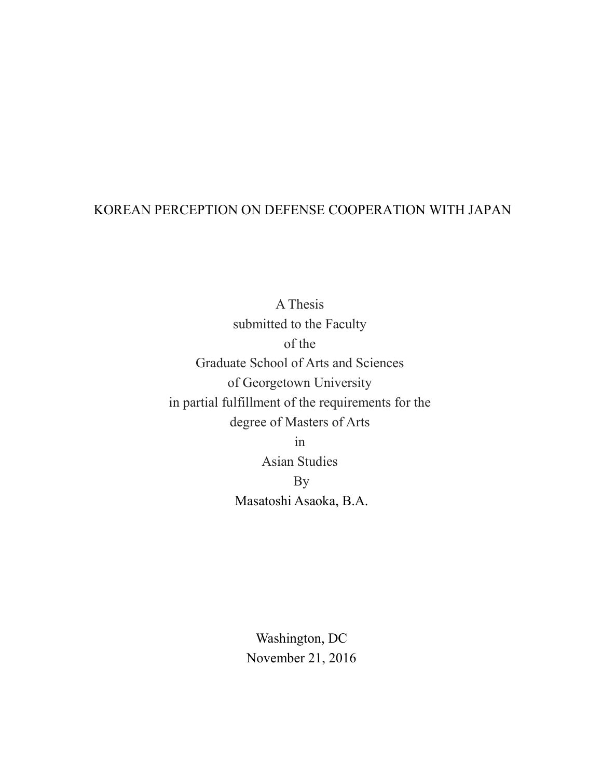# KOREAN PERCEPTION ON DEFENSE COOPERATION WITH JAPAN

A Thesis submitted to the Faculty of the Graduate School of Arts and Sciences of Georgetown University in partial fulfillment of the requirements for the degree of Masters of Arts

in

Asian Studies By Masatoshi Asaoka, B.A.

Washington, DC November 21, 2016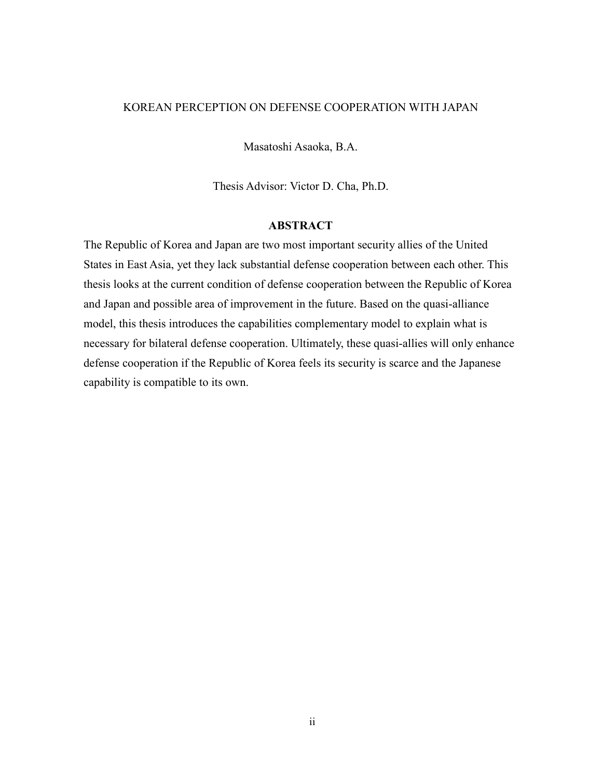#### KOREAN PERCEPTION ON DEFENSE COOPERATION WITH JAPAN

Masatoshi Asaoka, B.A.

Thesis Advisor: Victor D. Cha, Ph.D.

#### **ABSTRACT**

The Republic of Korea and Japan are two most important security allies of the United States in East Asia, yet they lack substantial defense cooperation between each other. This thesis looks at the current condition of defense cooperation between the Republic of Korea and Japan and possible area of improvement in the future. Based on the quasi-alliance model, this thesis introduces the capabilities complementary model to explain what is necessary for bilateral defense cooperation. Ultimately, these quasi-allies will only enhance defense cooperation if the Republic of Korea feels its security is scarce and the Japanese capability is compatible to its own.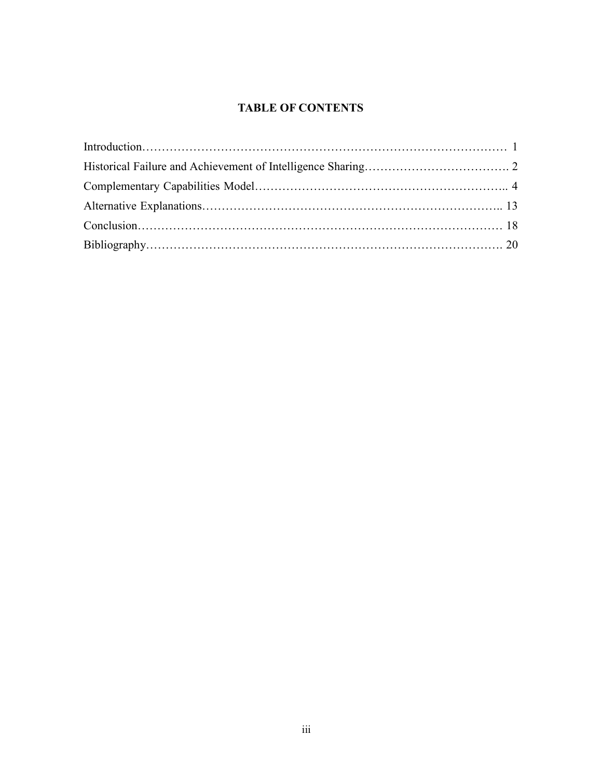# **TABLE OF CONTENTS**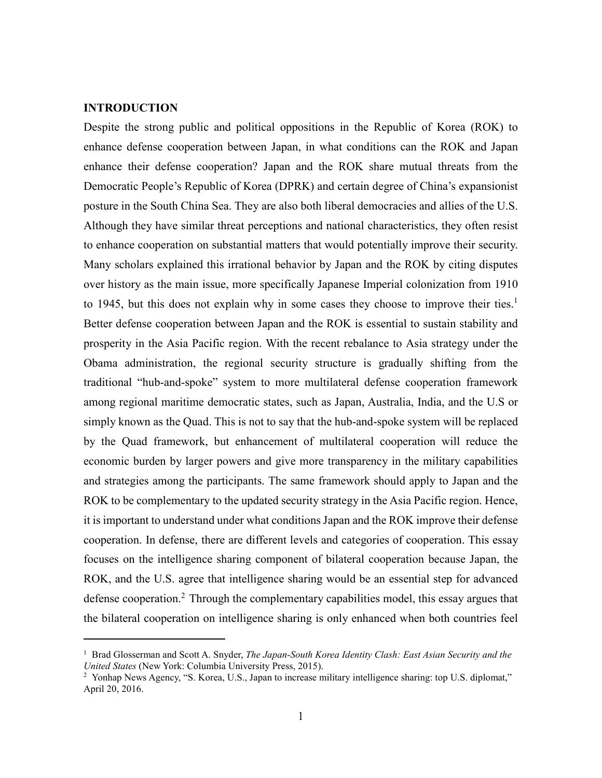### **INTRODUCTION**

Despite the strong public and political oppositions in the Republic of Korea (ROK) to enhance defense cooperation between Japan, in what conditions can the ROK and Japan enhance their defense cooperation? Japan and the ROK share mutual threats from the Democratic People's Republic of Korea (DPRK) and certain degree of China's expansionist posture in the South China Sea. They are also both liberal democracies and allies of the U.S. Although they have similar threat perceptions and national characteristics, they often resist to enhance cooperation on substantial matters that would potentially improve their security. Many scholars explained this irrational behavior by Japan and the ROK by citing disputes over history as the main issue, more specifically Japanese Imperial colonization from 1910 to 1945, but this does not explain why in some cases they choose to improve their ties.<sup>1</sup> Better defense cooperation between Japan and the ROK is essential to sustain stability and prosperity in the Asia Pacific region. With the recent rebalance to Asia strategy under the Obama administration, the regional security structure is gradually shifting from the traditional "hub-and-spoke" system to more multilateral defense cooperation framework among regional maritime democratic states, such as Japan, Australia, India, and the U.S or simply known as the Quad. This is not to say that the hub-and-spoke system will be replaced by the Quad framework, but enhancement of multilateral cooperation will reduce the economic burden by larger powers and give more transparency in the military capabilities and strategies among the participants. The same framework should apply to Japan and the ROK to be complementary to the updated security strategy in the Asia Pacific region. Hence, it is important to understand under what conditions Japan and the ROK improve their defense cooperation. In defense, there are different levels and categories of cooperation. This essay focuses on the intelligence sharing component of bilateral cooperation because Japan, the ROK, and the U.S. agree that intelligence sharing would be an essential step for advanced defense cooperation.<sup>2</sup> Through the complementary capabilities model, this essay argues that the bilateral cooperation on intelligence sharing is only enhanced when both countries feel

<sup>&</sup>lt;sup>1</sup> Brad Glosserman and Scott A. Snyder, *The Japan-South Korea Identity Clash: East Asian Security and the United States* (New York: Columbia University Press, 2015).

<sup>&</sup>lt;sup>2</sup> Yonhap News Agency, "S. Korea, U.S., Japan to increase military intelligence sharing: top U.S. diplomat," April 20, 2016.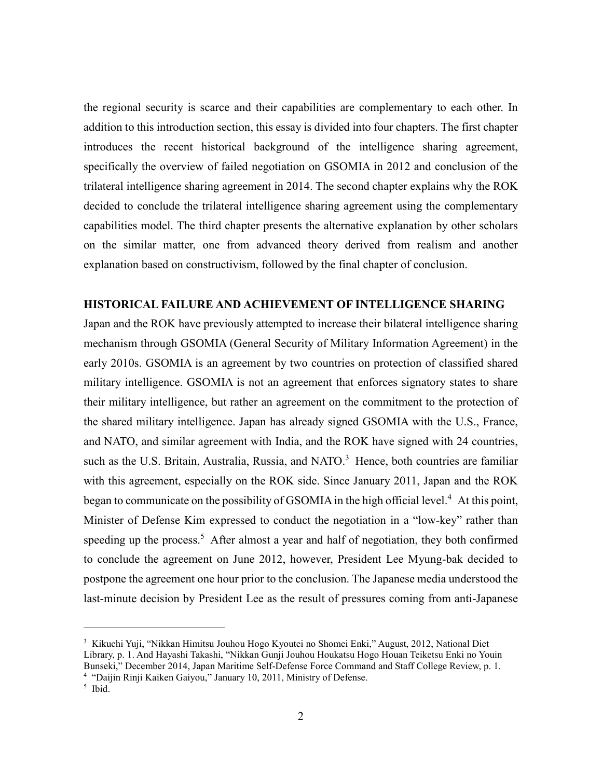the regional security is scarce and their capabilities are complementary to each other. In addition to this introduction section, this essay is divided into four chapters. The first chapter introduces the recent historical background of the intelligence sharing agreement, specifically the overview of failed negotiation on GSOMIA in 2012 and conclusion of the trilateral intelligence sharing agreement in 2014. The second chapter explains why the ROK decided to conclude the trilateral intelligence sharing agreement using the complementary capabilities model. The third chapter presents the alternative explanation by other scholars on the similar matter, one from advanced theory derived from realism and another explanation based on constructivism, followed by the final chapter of conclusion.

#### **HISTORICAL FAILURE AND ACHIEVEMENT OF INTELLIGENCE SHARING**

Japan and the ROK have previously attempted to increase their bilateral intelligence sharing mechanism through GSOMIA (General Security of Military Information Agreement) in the early 2010s. GSOMIA is an agreement by two countries on protection of classified shared military intelligence. GSOMIA is not an agreement that enforces signatory states to share their military intelligence, but rather an agreement on the commitment to the protection of the shared military intelligence. Japan has already signed GSOMIA with the U.S., France, and NATO, and similar agreement with India, and the ROK have signed with 24 countries, such as the U.S. Britain, Australia, Russia, and NATO. $3$  Hence, both countries are familiar with this agreement, especially on the ROK side. Since January 2011, Japan and the ROK began to communicate on the possibility of GSOMIA in the high official level.<sup>4</sup> At this point, Minister of Defense Kim expressed to conduct the negotiation in a "low-key" rather than speeding up the process.<sup>5</sup> After almost a year and half of negotiation, they both confirmed to conclude the agreement on June 2012, however, President Lee Myung-bak decided to postpone the agreement one hour prior to the conclusion. The Japanese media understood the last-minute decision by President Lee as the result of pressures coming from anti-Japanese

<sup>3</sup> Kikuchi Yuji, "Nikkan Himitsu Jouhou Hogo Kyoutei no Shomei Enki," August, 2012, National Diet Library, p. 1. And Hayashi Takashi, "Nikkan Gunji Jouhou Houkatsu Hogo Houan Teiketsu Enki no Youin Bunseki," December 2014, Japan Maritime Self-Defense Force Command and Staff College Review, p. 1.

<sup>&</sup>lt;sup>4</sup> "Daijin Rinji Kaiken Gaiyou," January 10, 2011, Ministry of Defense.

<sup>5</sup> Ibid.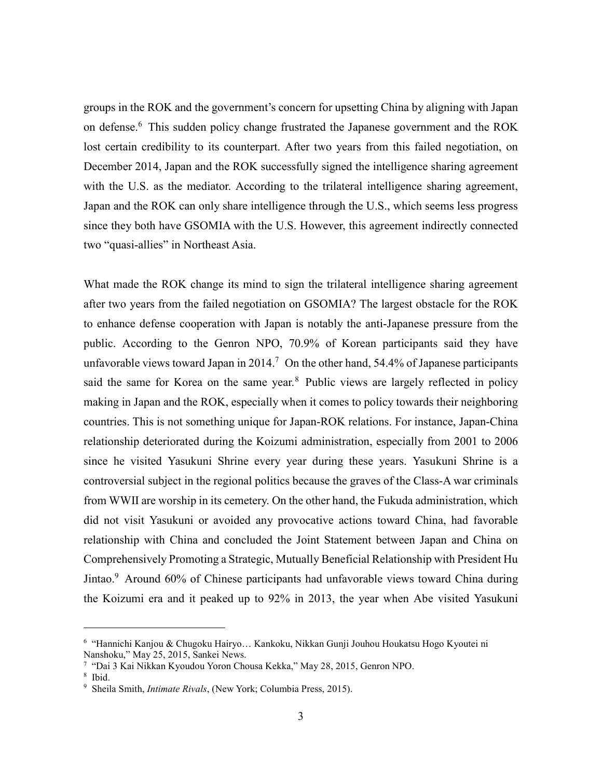groups in the ROK and the government's concern for upsetting China by aligning with Japan on defense.<sup>6</sup> This sudden policy change frustrated the Japanese government and the ROK lost certain credibility to its counterpart. After two years from this failed negotiation, on December 2014, Japan and the ROK successfully signed the intelligence sharing agreement with the U.S. as the mediator. According to the trilateral intelligence sharing agreement, Japan and the ROK can only share intelligence through the U.S., which seems less progress since they both have GSOMIA with the U.S. However, this agreement indirectly connected two "quasi-allies" in Northeast Asia.

What made the ROK change its mind to sign the trilateral intelligence sharing agreement after two years from the failed negotiation on GSOMIA? The largest obstacle for the ROK to enhance defense cooperation with Japan is notably the anti-Japanese pressure from the public. According to the Genron NPO, 70.9% of Korean participants said they have unfavorable views toward Japan in 2014.<sup>7</sup> On the other hand, 54.4% of Japanese participants said the same for Korea on the same year.<sup>8</sup> Public views are largely reflected in policy making in Japan and the ROK, especially when it comes to policy towards their neighboring countries. This is not something unique for Japan-ROK relations. For instance, Japan-China relationship deteriorated during the Koizumi administration, especially from 2001 to 2006 since he visited Yasukuni Shrine every year during these years. Yasukuni Shrine is a controversial subject in the regional politics because the graves of the Class-A war criminals from WWII are worship in its cemetery. On the other hand, the Fukuda administration, which did not visit Yasukuni or avoided any provocative actions toward China, had favorable relationship with China and concluded the Joint Statement between Japan and China on Comprehensively Promoting a Strategic, Mutually Beneficial Relationship with President Hu Jintao.<sup>9</sup> Around 60% of Chinese participants had unfavorable views toward China during the Koizumi era and it peaked up to 92% in 2013, the year when Abe visited Yasukuni

<sup>6</sup> "Hannichi Kanjou & Chugoku Hairyo… Kankoku, Nikkan Gunji Jouhou Houkatsu Hogo Kyoutei ni Nanshoku," May 25, 2015, Sankei News.

<sup>7</sup> "Dai 3 Kai Nikkan Kyoudou Yoron Chousa Kekka," May 28, 2015, Genron NPO.

<sup>8</sup> Ibid.

<sup>9</sup> Sheila Smith, *Intimate Rivals*, (New York; Columbia Press, 2015).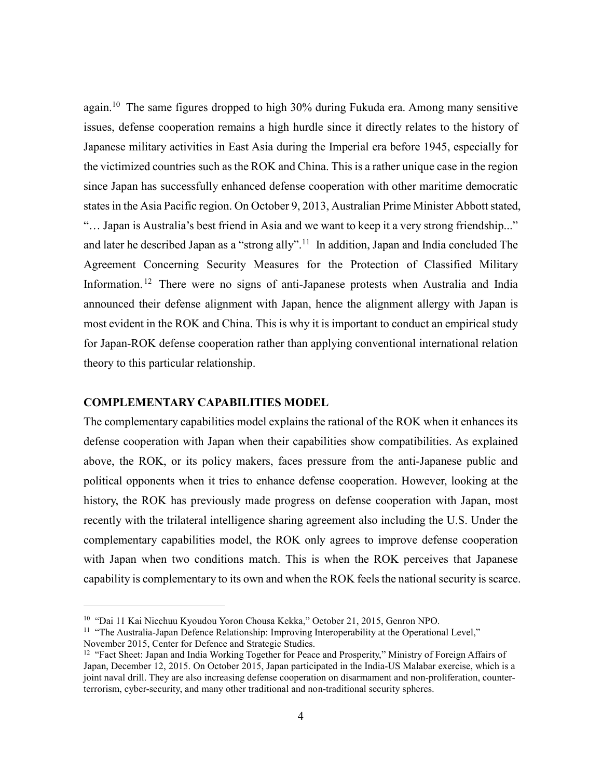again.<sup>10</sup> The same figures dropped to high 30% during Fukuda era. Among many sensitive issues, defense cooperation remains a high hurdle since it directly relates to the history of Japanese military activities in East Asia during the Imperial era before 1945, especially for the victimized countries such as the ROK and China. This is a rather unique case in the region since Japan has successfully enhanced defense cooperation with other maritime democratic states in the Asia Pacific region. On October 9, 2013, Australian Prime Minister Abbott stated, "… Japan is Australia's best friend in Asia and we want to keep it a very strong friendship..." and later he described Japan as a "strong ally".<sup>11</sup> In addition, Japan and India concluded The Agreement Concerning Security Measures for the Protection of Classified Military Information.<sup>12</sup> There were no signs of anti-Japanese protests when Australia and India announced their defense alignment with Japan, hence the alignment allergy with Japan is most evident in the ROK and China. This is why it is important to conduct an empirical study for Japan-ROK defense cooperation rather than applying conventional international relation theory to this particular relationship.

#### **COMPLEMENTARY CAPABILITIES MODEL**

The complementary capabilities model explains the rational of the ROK when it enhances its defense cooperation with Japan when their capabilities show compatibilities. As explained above, the ROK, or its policy makers, faces pressure from the anti-Japanese public and political opponents when it tries to enhance defense cooperation. However, looking at the history, the ROK has previously made progress on defense cooperation with Japan, most recently with the trilateral intelligence sharing agreement also including the U.S. Under the complementary capabilities model, the ROK only agrees to improve defense cooperation with Japan when two conditions match. This is when the ROK perceives that Japanese capability is complementary to its own and when the ROK feels the national security is scarce.

<sup>10</sup> "Dai 11 Kai Nicchuu Kyoudou Yoron Chousa Kekka," October 21, 2015, Genron NPO.

<sup>&</sup>lt;sup>11</sup> "The Australia-Japan Defence Relationship: Improving Interoperability at the Operational Level," November 2015, Center for Defence and Strategic Studies.

<sup>&</sup>lt;sup>12</sup> "Fact Sheet: Japan and India Working Together for Peace and Prosperity," Ministry of Foreign Affairs of Japan, December 12, 2015. On October 2015, Japan participated in the India-US Malabar exercise, which is a joint naval drill. They are also increasing defense cooperation on disarmament and non-proliferation, counterterrorism, cyber-security, and many other traditional and non-traditional security spheres.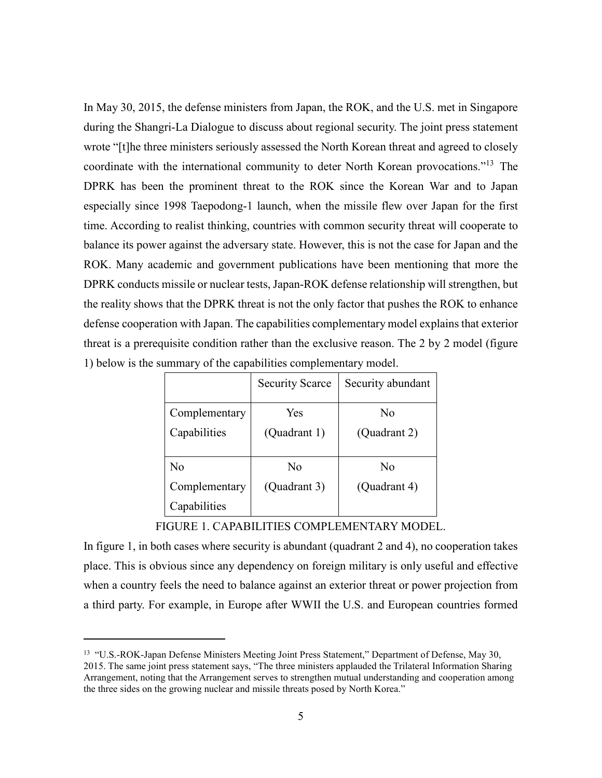In May 30, 2015, the defense ministers from Japan, the ROK, and the U.S. met in Singapore during the Shangri-La Dialogue to discuss about regional security. The joint press statement wrote "[t]he three ministers seriously assessed the North Korean threat and agreed to closely coordinate with the international community to deter North Korean provocations."<sup>13</sup> The DPRK has been the prominent threat to the ROK since the Korean War and to Japan especially since 1998 Taepodong-1 launch, when the missile flew over Japan for the first time. According to realist thinking, countries with common security threat will cooperate to balance its power against the adversary state. However, this is not the case for Japan and the ROK. Many academic and government publications have been mentioning that more the DPRK conducts missile or nuclear tests, Japan-ROK defense relationship will strengthen, but the reality shows that the DPRK threat is not the only factor that pushes the ROK to enhance defense cooperation with Japan. The capabilities complementary model explains that exterior threat is a prerequisite condition rather than the exclusive reason. The 2 by 2 model (figure 1) below is the summary of the capabilities complementary model.

|               | <b>Security Scarce</b> | Security abundant |
|---------------|------------------------|-------------------|
| Complementary | Yes                    | No                |
| Capabilities  | (Quadrant 1)           | (Quadrant 2)      |
|               |                        |                   |
| No            | N <sub>0</sub>         | N <sub>0</sub>    |
| Complementary | (Quadrant 3)           | (Quadrant 4)      |
| Capabilities  |                        |                   |

#### FIGURE 1. CAPABILITIES COMPLEMENTARY MODEL.

In figure 1, in both cases where security is abundant (quadrant 2 and 4), no cooperation takes place. This is obvious since any dependency on foreign military is only useful and effective when a country feels the need to balance against an exterior threat or power projection from a third party. For example, in Europe after WWII the U.S. and European countries formed

<sup>&</sup>lt;sup>13</sup> "U.S.-ROK-Japan Defense Ministers Meeting Joint Press Statement," Department of Defense, May 30, 2015. The same joint press statement says, "The three ministers applauded the Trilateral Information Sharing Arrangement, noting that the Arrangement serves to strengthen mutual understanding and cooperation among the three sides on the growing nuclear and missile threats posed by North Korea."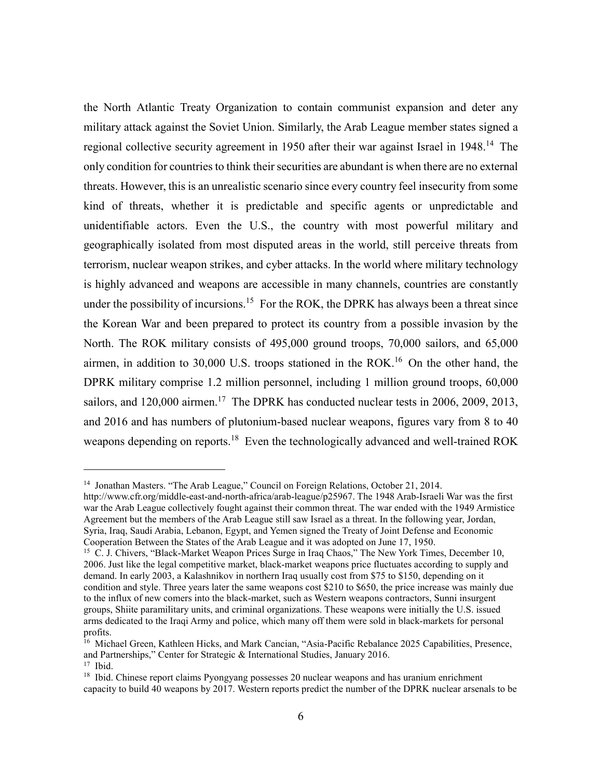the North Atlantic Treaty Organization to contain communist expansion and deter any military attack against the Soviet Union. Similarly, the Arab League member states signed a regional collective security agreement in 1950 after their war against Israel in 1948.<sup>14</sup> The only condition for countries to think their securities are abundant is when there are no external threats. However, this is an unrealistic scenario since every country feel insecurity from some kind of threats, whether it is predictable and specific agents or unpredictable and unidentifiable actors. Even the U.S., the country with most powerful military and geographically isolated from most disputed areas in the world, still perceive threats from terrorism, nuclear weapon strikes, and cyber attacks. In the world where military technology is highly advanced and weapons are accessible in many channels, countries are constantly under the possibility of incursions.<sup>15</sup> For the ROK, the DPRK has always been a threat since the Korean War and been prepared to protect its country from a possible invasion by the North. The ROK military consists of 495,000 ground troops, 70,000 sailors, and 65,000 airmen, in addition to  $30,000$  U.S. troops stationed in the ROK.<sup>16</sup> On the other hand, the DPRK military comprise 1.2 million personnel, including 1 million ground troops, 60,000 sailors, and  $120,000$  airmen.<sup>17</sup> The DPRK has conducted nuclear tests in 2006, 2009, 2013, and 2016 and has numbers of plutonium-based nuclear weapons, figures vary from 8 to 40 weapons depending on reports.<sup>18</sup> Even the technologically advanced and well-trained ROK

<sup>&</sup>lt;sup>14</sup> Jonathan Masters. "The Arab League," Council on Foreign Relations, October 21, 2014.

http://www.cfr.org/middle-east-and-north-africa/arab-league/p25967. The 1948 Arab-Israeli War was the first war the Arab League collectively fought against their common threat. The war ended with the 1949 Armistice Agreement but the members of the Arab League still saw Israel as a threat. In the following year, Jordan, Syria, Iraq, Saudi Arabia, Lebanon, Egypt, and Yemen signed the Treaty of Joint Defense and Economic Cooperation Between the States of the Arab League and it was adopted on June 17, 1950.

<sup>&</sup>lt;sup>15</sup> C. J. Chivers, "Black-Market Weapon Prices Surge in Iraq Chaos," The New York Times, December 10, 2006. Just like the legal competitive market, black-market weapons price fluctuates according to supply and demand. In early 2003, a Kalashnikov in northern Iraq usually cost from \$75 to \$150, depending on it condition and style. Three years later the same weapons cost \$210 to \$650, the price increase was mainly due to the influx of new comers into the black-market, such as Western weapons contractors, Sunni insurgent groups, Shiite paramilitary units, and criminal organizations. These weapons were initially the U.S. issued arms dedicated to the Iraqi Army and police, which many off them were sold in black-markets for personal profits.

<sup>&</sup>lt;sup>16</sup> Michael Green, Kathleen Hicks, and Mark Cancian, "Asia-Pacific Rebalance 2025 Capabilities, Presence, and Partnerships," Center for Strategic & International Studies, January 2016. <sup>17</sup> Ibid.

<sup>&</sup>lt;sup>18</sup> Ibid. Chinese report claims Pyongyang possesses 20 nuclear weapons and has uranium enrichment capacity to build 40 weapons by 2017. Western reports predict the number of the DPRK nuclear arsenals to be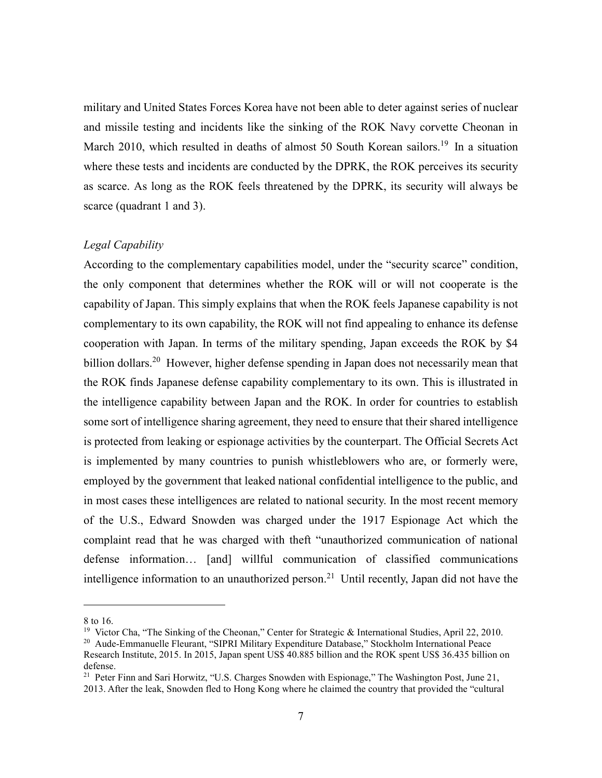military and United States Forces Korea have not been able to deter against series of nuclear and missile testing and incidents like the sinking of the ROK Navy corvette Cheonan in March 2010, which resulted in deaths of almost 50 South Korean sailors.<sup>19</sup> In a situation where these tests and incidents are conducted by the DPRK, the ROK perceives its security as scarce. As long as the ROK feels threatened by the DPRK, its security will always be scarce (quadrant 1 and 3).

#### *Legal Capability*

According to the complementary capabilities model, under the "security scarce" condition, the only component that determines whether the ROK will or will not cooperate is the capability of Japan. This simply explains that when the ROK feels Japanese capability is not complementary to its own capability, the ROK will not find appealing to enhance its defense cooperation with Japan. In terms of the military spending, Japan exceeds the ROK by \$4 billion dollars.<sup>20</sup> However, higher defense spending in Japan does not necessarily mean that the ROK finds Japanese defense capability complementary to its own. This is illustrated in the intelligence capability between Japan and the ROK. In order for countries to establish some sort of intelligence sharing agreement, they need to ensure that their shared intelligence is protected from leaking or espionage activities by the counterpart. The Official Secrets Act is implemented by many countries to punish whistleblowers who are, or formerly were, employed by the government that leaked national confidential intelligence to the public, and in most cases these intelligences are related to national security. In the most recent memory of the U.S., Edward Snowden was charged under the 1917 Espionage Act which the complaint read that he was charged with theft "unauthorized communication of national defense information… [and] willful communication of classified communications intelligence information to an unauthorized person.<sup>21</sup> Until recently, Japan did not have the

<sup>8</sup> to 16.

<sup>&</sup>lt;sup>19</sup> Victor Cha, "The Sinking of the Cheonan," Center for Strategic & International Studies, April 22, 2010.

<sup>20</sup> Aude-Emmanuelle Fleurant, "SIPRI Military Expenditure Database," Stockholm International Peace Research Institute, 2015. In 2015, Japan spent US\$ 40.885 billion and the ROK spent US\$ 36.435 billion on defense.

<sup>&</sup>lt;sup>21</sup> Peter Finn and Sari Horwitz, "U.S. Charges Snowden with Espionage," The Washington Post, June 21, 2013. After the leak, Snowden fled to Hong Kong where he claimed the country that provided the "cultural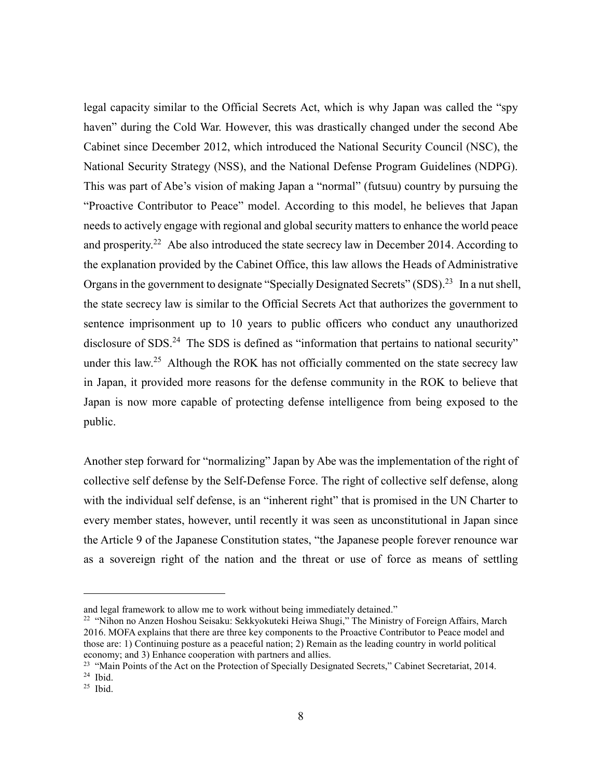legal capacity similar to the Official Secrets Act, which is why Japan was called the "spy haven" during the Cold War. However, this was drastically changed under the second Abe Cabinet since December 2012, which introduced the National Security Council (NSC), the National Security Strategy (NSS), and the National Defense Program Guidelines (NDPG). This was part of Abe's vision of making Japan a "normal" (futsuu) country by pursuing the "Proactive Contributor to Peace" model. According to this model, he believes that Japan needs to actively engage with regional and global security matters to enhance the world peace and prosperity.<sup>22</sup> Abe also introduced the state secrecy law in December 2014. According to the explanation provided by the Cabinet Office, this law allows the Heads of Administrative Organs in the government to designate "Specially Designated Secrets" (SDS).<sup>23</sup> In a nut shell, the state secrecy law is similar to the Official Secrets Act that authorizes the government to sentence imprisonment up to 10 years to public officers who conduct any unauthorized disclosure of SDS.<sup>24</sup> The SDS is defined as "information that pertains to national security" under this law.<sup>25</sup> Although the ROK has not officially commented on the state secrecy law in Japan, it provided more reasons for the defense community in the ROK to believe that Japan is now more capable of protecting defense intelligence from being exposed to the public.

Another step forward for "normalizing" Japan by Abe was the implementation of the right of collective self defense by the Self-Defense Force. The right of collective self defense, along with the individual self defense, is an "inherent right" that is promised in the UN Charter to every member states, however, until recently it was seen as unconstitutional in Japan since the Article 9 of the Japanese Constitution states, "the Japanese people forever renounce war as a sovereign right of the nation and the threat or use of force as means of settling

and legal framework to allow me to work without being immediately detained."

<sup>&</sup>lt;sup>22</sup> "Nihon no Anzen Hoshou Seisaku: Sekkyokuteki Heiwa Shugi," The Ministry of Foreign Affairs, March 2016. MOFA explains that there are three key components to the Proactive Contributor to Peace model and those are: 1) Continuing posture as a peaceful nation; 2) Remain as the leading country in world political economy; and 3) Enhance cooperation with partners and allies.

<sup>&</sup>lt;sup>23</sup> "Main Points of the Act on the Protection of Specially Designated Secrets," Cabinet Secretariat, 2014.

 $24$  Ibid.

 $25$  Ibid.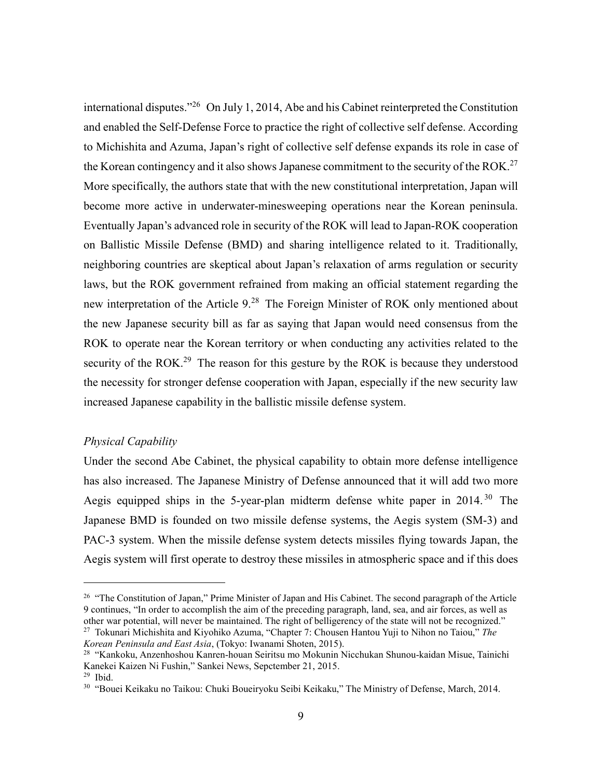international disputes."<sup>26</sup> On July 1, 2014, Abe and his Cabinet reinterpreted the Constitution and enabled the Self-Defense Force to practice the right of collective self defense. According to Michishita and Azuma, Japan's right of collective self defense expands its role in case of the Korean contingency and it also shows Japanese commitment to the security of the ROK.<sup>27</sup> More specifically, the authors state that with the new constitutional interpretation, Japan will become more active in underwater-minesweeping operations near the Korean peninsula. Eventually Japan's advanced role in security of the ROK will lead to Japan-ROK cooperation on Ballistic Missile Defense (BMD) and sharing intelligence related to it. Traditionally, neighboring countries are skeptical about Japan's relaxation of arms regulation or security laws, but the ROK government refrained from making an official statement regarding the new interpretation of the Article 9.<sup>28</sup> The Foreign Minister of ROK only mentioned about the new Japanese security bill as far as saying that Japan would need consensus from the ROK to operate near the Korean territory or when conducting any activities related to the security of the ROK.<sup>29</sup> The reason for this gesture by the ROK is because they understood the necessity for stronger defense cooperation with Japan, especially if the new security law increased Japanese capability in the ballistic missile defense system.

#### *Physical Capability*

Under the second Abe Cabinet, the physical capability to obtain more defense intelligence has also increased. The Japanese Ministry of Defense announced that it will add two more Aegis equipped ships in the 5-year-plan midterm defense white paper in 2014.<sup>30</sup> The Japanese BMD is founded on two missile defense systems, the Aegis system (SM-3) and PAC-3 system. When the missile defense system detects missiles flying towards Japan, the Aegis system will first operate to destroy these missiles in atmospheric space and if this does

<sup>&</sup>lt;sup>26</sup> "The Constitution of Japan," Prime Minister of Japan and His Cabinet. The second paragraph of the Article 9 continues, "In order to accomplish the aim of the preceding paragraph, land, sea, and air forces, as well as other war potential, will never be maintained. The right of belligerency of the state will not be recognized." <sup>27</sup> Tokunari Michishita and Kiyohiko Azuma, "Chapter 7: Chousen Hantou Yuji to Nihon no Taiou," *The* 

*Korean Peninsula and East Asia*, (Tokyo: Iwanami Shoten, 2015).

<sup>28</sup> "Kankoku, Anzenhoshou Kanren-houan Seiritsu mo Mokunin Nicchukan Shunou-kaidan Misue, Tainichi Kanekei Kaizen Ni Fushin," Sankei News, Sepctember 21, 2015.  $29$  Ibid.

<sup>30</sup> "Bouei Keikaku no Taikou: Chuki Boueiryoku Seibi Keikaku," The Ministry of Defense, March, 2014.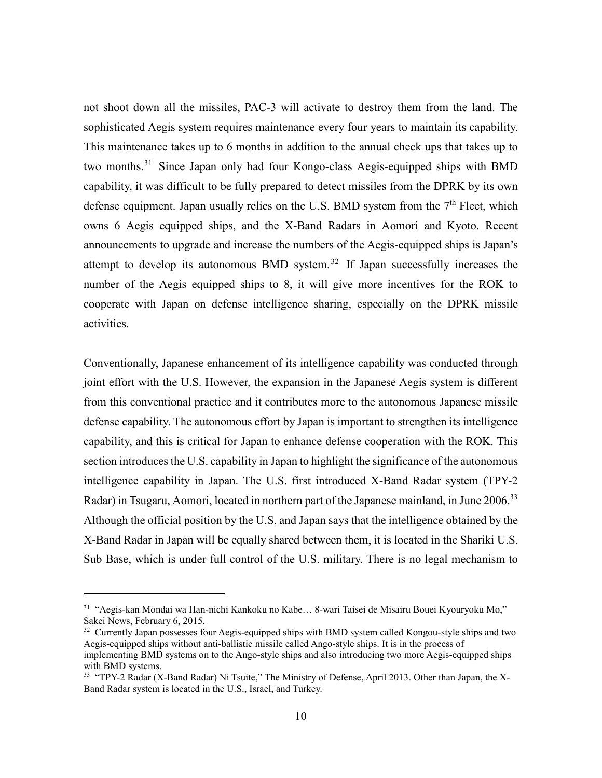not shoot down all the missiles, PAC-3 will activate to destroy them from the land. The sophisticated Aegis system requires maintenance every four years to maintain its capability. This maintenance takes up to 6 months in addition to the annual check ups that takes up to two months.<sup>31</sup> Since Japan only had four Kongo-class Aegis-equipped ships with BMD capability, it was difficult to be fully prepared to detect missiles from the DPRK by its own defense equipment. Japan usually relies on the U.S. BMD system from the 7<sup>th</sup> Fleet, which owns 6 Aegis equipped ships, and the X-Band Radars in Aomori and Kyoto. Recent announcements to upgrade and increase the numbers of the Aegis-equipped ships is Japan's attempt to develop its autonomous BMD system. <sup>32</sup> If Japan successfully increases the number of the Aegis equipped ships to 8, it will give more incentives for the ROK to cooperate with Japan on defense intelligence sharing, especially on the DPRK missile activities.

Conventionally, Japanese enhancement of its intelligence capability was conducted through joint effort with the U.S. However, the expansion in the Japanese Aegis system is different from this conventional practice and it contributes more to the autonomous Japanese missile defense capability. The autonomous effort by Japan is important to strengthen its intelligence capability, and this is critical for Japan to enhance defense cooperation with the ROK. This section introduces the U.S. capability in Japan to highlight the significance of the autonomous intelligence capability in Japan. The U.S. first introduced X-Band Radar system (TPY-2 Radar) in Tsugaru, Aomori, located in northern part of the Japanese mainland, in June 2006.<sup>33</sup> Although the official position by the U.S. and Japan says that the intelligence obtained by the X-Band Radar in Japan will be equally shared between them, it is located in the Shariki U.S. Sub Base, which is under full control of the U.S. military. There is no legal mechanism to

<sup>31</sup> "Aegis-kan Mondai wa Han-nichi Kankoku no Kabe… 8-wari Taisei de Misairu Bouei Kyouryoku Mo," Sakei News, February 6, 2015.

<sup>&</sup>lt;sup>32</sup> Currently Japan possesses four Aegis-equipped ships with BMD system called Kongou-style ships and two Aegis-equipped ships without anti-ballistic missile called Ango-style ships. It is in the process of implementing BMD systems on to the Ango-style ships and also introducing two more Aegis-equipped ships with BMD systems.

<sup>&</sup>lt;sup>33</sup> "TPY-2 Radar (X-Band Radar) Ni Tsuite," The Ministry of Defense, April 2013. Other than Japan, the X-Band Radar system is located in the U.S., Israel, and Turkey.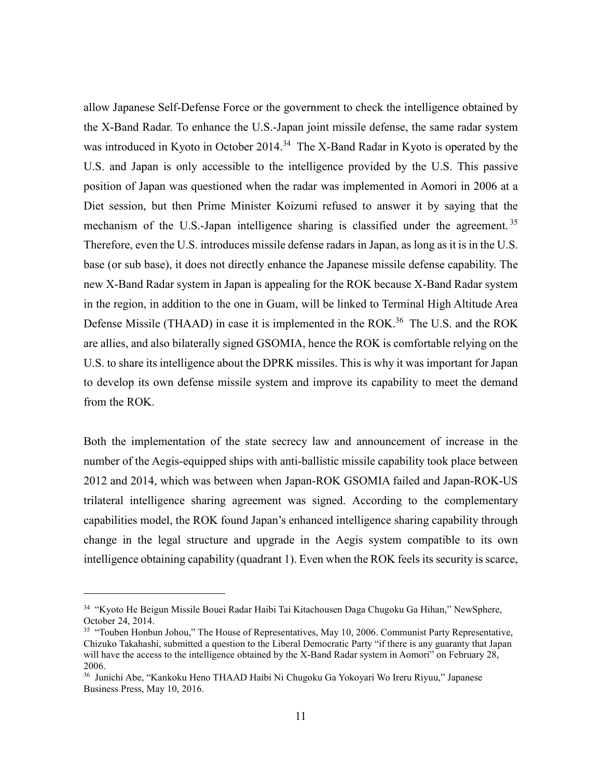allow Japanese Self-Defense Force or the government to check the intelligence obtained by the X-Band Radar. To enhance the U.S.-Japan joint missile defense, the same radar system was introduced in Kyoto in October 2014.<sup>34</sup> The X-Band Radar in Kyoto is operated by the U.S. and Japan is only accessible to the intelligence provided by the U.S. This passive position of Japan was questioned when the radar was implemented in Aomori in 2006 at a Diet session, but then Prime Minister Koizumi refused to answer it by saying that the mechanism of the U.S.-Japan intelligence sharing is classified under the agreement.<sup>35</sup> Therefore, even the U.S. introduces missile defense radars in Japan, as long as it is in the U.S. base (or sub base), it does not directly enhance the Japanese missile defense capability. The new X-Band Radar system in Japan is appealing for the ROK because X-Band Radar system in the region, in addition to the one in Guam, will be linked to Terminal High Altitude Area Defense Missile (THAAD) in case it is implemented in the ROK.<sup>36</sup> The U.S. and the ROK are allies, and also bilaterally signed GSOMIA, hence the ROK is comfortable relying on the U.S. to share its intelligence about the DPRK missiles. This is why it was important for Japan to develop its own defense missile system and improve its capability to meet the demand from the ROK.

Both the implementation of the state secrecy law and announcement of increase in the number of the Aegis-equipped ships with anti-ballistic missile capability took place between 2012 and 2014, which was between when Japan-ROK GSOMIA failed and Japan-ROK-US trilateral intelligence sharing agreement was signed. According to the complementary capabilities model, the ROK found Japan's enhanced intelligence sharing capability through change in the legal structure and upgrade in the Aegis system compatible to its own intelligence obtaining capability (quadrant 1). Even when the ROK feels its security is scarce,

<sup>34</sup> "Kyoto He Beigun Missile Bouei Radar Haibi Tai Kitachousen Daga Chugoku Ga Hihan," NewSphere, October 24, 2014.

<sup>&</sup>lt;sup>35</sup> "Touben Honbun Johou," The House of Representatives, May 10, 2006. Communist Party Representative, Chizuko Takahashi, submitted a question to the Liberal Democratic Party "if there is any guaranty that Japan will have the access to the intelligence obtained by the X-Band Radar system in Aomori" on February 28, 2006.

<sup>36</sup> Junichi Abe, "Kankoku Heno THAAD Haibi Ni Chugoku Ga Yokoyari Wo Ireru Riyuu," Japanese Business Press, May 10, 2016.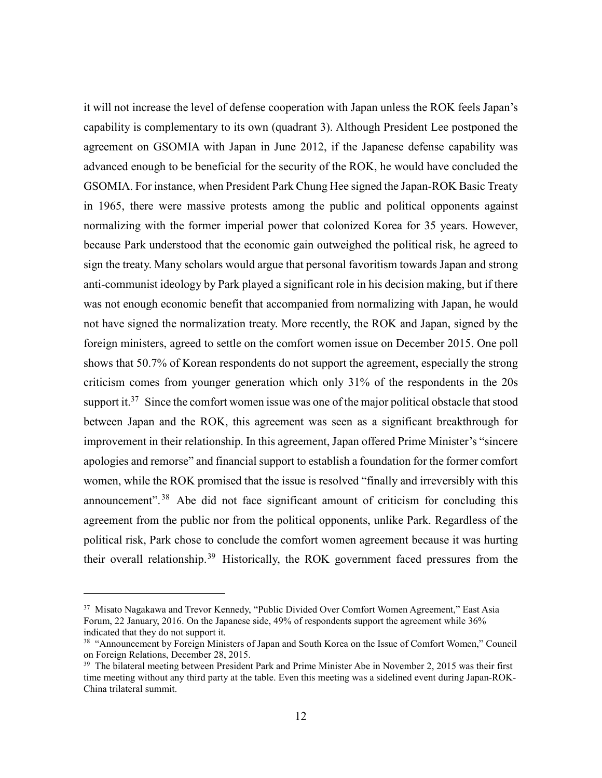it will not increase the level of defense cooperation with Japan unless the ROK feels Japan's capability is complementary to its own (quadrant 3). Although President Lee postponed the agreement on GSOMIA with Japan in June 2012, if the Japanese defense capability was advanced enough to be beneficial for the security of the ROK, he would have concluded the GSOMIA. For instance, when President Park Chung Hee signed the Japan-ROK Basic Treaty in 1965, there were massive protests among the public and political opponents against normalizing with the former imperial power that colonized Korea for 35 years. However, because Park understood that the economic gain outweighed the political risk, he agreed to sign the treaty. Many scholars would argue that personal favoritism towards Japan and strong anti-communist ideology by Park played a significant role in his decision making, but if there was not enough economic benefit that accompanied from normalizing with Japan, he would not have signed the normalization treaty. More recently, the ROK and Japan, signed by the foreign ministers, agreed to settle on the comfort women issue on December 2015. One poll shows that 50.7% of Korean respondents do not support the agreement, especially the strong criticism comes from younger generation which only 31% of the respondents in the 20s support it.<sup>37</sup> Since the comfort women issue was one of the major political obstacle that stood between Japan and the ROK, this agreement was seen as a significant breakthrough for improvement in their relationship. In this agreement, Japan offered Prime Minister's "sincere apologies and remorse" and financial support to establish a foundation for the former comfort women, while the ROK promised that the issue is resolved "finally and irreversibly with this announcement".<sup>38</sup> Abe did not face significant amount of criticism for concluding this agreement from the public nor from the political opponents, unlike Park. Regardless of the political risk, Park chose to conclude the comfort women agreement because it was hurting their overall relationship.<sup>39</sup> Historically, the ROK government faced pressures from the

<sup>&</sup>lt;sup>37</sup> Misato Nagakawa and Trevor Kennedy, "Public Divided Over Comfort Women Agreement," East Asia Forum, 22 January, 2016. On the Japanese side, 49% of respondents support the agreement while 36% indicated that they do not support it.

<sup>&</sup>lt;sup>38</sup> "Announcement by Foreign Ministers of Japan and South Korea on the Issue of Comfort Women," Council on Foreign Relations, December 28, 2015.

<sup>&</sup>lt;sup>39</sup> The bilateral meeting between President Park and Prime Minister Abe in November 2, 2015 was their first time meeting without any third party at the table. Even this meeting was a sidelined event during Japan-ROK-China trilateral summit.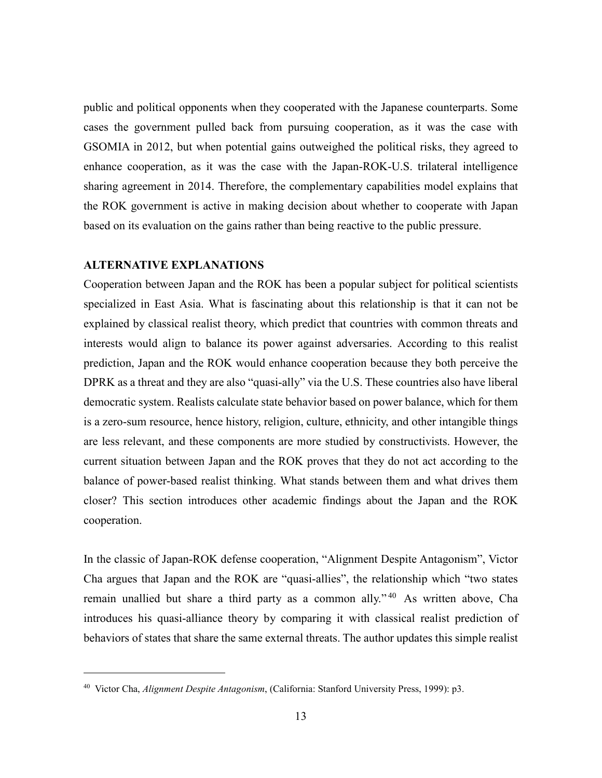public and political opponents when they cooperated with the Japanese counterparts. Some cases the government pulled back from pursuing cooperation, as it was the case with GSOMIA in 2012, but when potential gains outweighed the political risks, they agreed to enhance cooperation, as it was the case with the Japan-ROK-U.S. trilateral intelligence sharing agreement in 2014. Therefore, the complementary capabilities model explains that the ROK government is active in making decision about whether to cooperate with Japan based on its evaluation on the gains rather than being reactive to the public pressure.

#### **ALTERNATIVE EXPLANATIONS**

Cooperation between Japan and the ROK has been a popular subject for political scientists specialized in East Asia. What is fascinating about this relationship is that it can not be explained by classical realist theory, which predict that countries with common threats and interests would align to balance its power against adversaries. According to this realist prediction, Japan and the ROK would enhance cooperation because they both perceive the DPRK as a threat and they are also "quasi-ally" via the U.S. These countries also have liberal democratic system. Realists calculate state behavior based on power balance, which for them is a zero-sum resource, hence history, religion, culture, ethnicity, and other intangible things are less relevant, and these components are more studied by constructivists. However, the current situation between Japan and the ROK proves that they do not act according to the balance of power-based realist thinking. What stands between them and what drives them closer? This section introduces other academic findings about the Japan and the ROK cooperation.

In the classic of Japan-ROK defense cooperation, "Alignment Despite Antagonism", Victor Cha argues that Japan and the ROK are "quasi-allies", the relationship which "two states remain unallied but share a third party as a common ally." <sup>40</sup> As written above, Cha introduces his quasi-alliance theory by comparing it with classical realist prediction of behaviors of states that share the same external threats. The author updates this simple realist

<sup>40</sup> Victor Cha, *Alignment Despite Antagonism*, (California: Stanford University Press, 1999): p3.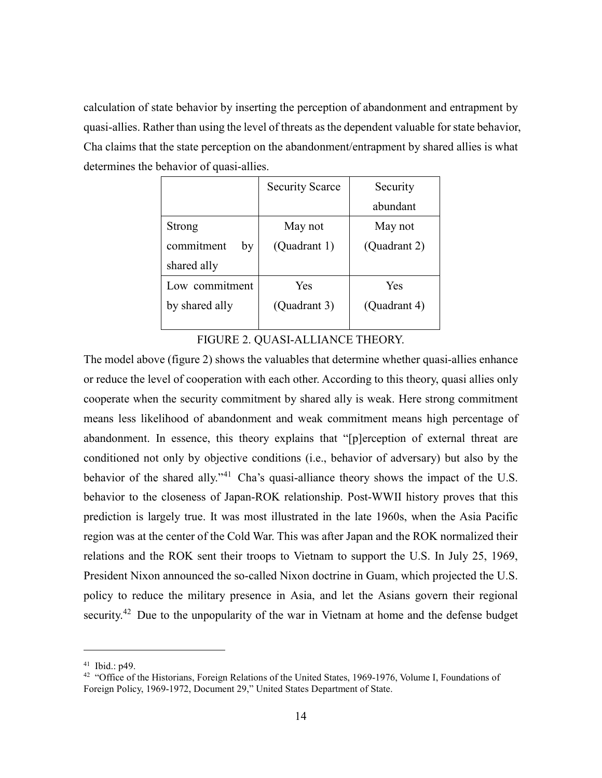calculation of state behavior by inserting the perception of abandonment and entrapment by quasi-allies. Rather than using the level of threats as the dependent valuable for state behavior, Cha claims that the state perception on the abandonment/entrapment by shared allies is what determines the behavior of quasi-allies.

|                  | <b>Security Scarce</b> | Security     |
|------------------|------------------------|--------------|
|                  |                        | abundant     |
| Strong           | May not                | May not      |
| commitment<br>by | (Quadrant 1)           | (Quadrant 2) |
| shared ally      |                        |              |
| Low commitment   | Yes                    | Yes          |
| by shared ally   | (Quadrant 3)           | (Quadrant 4) |
|                  |                        |              |

FIGURE 2. QUASI-ALLIANCE THEORY.

The model above (figure 2) shows the valuables that determine whether quasi-allies enhance or reduce the level of cooperation with each other. According to this theory, quasi allies only cooperate when the security commitment by shared ally is weak. Here strong commitment means less likelihood of abandonment and weak commitment means high percentage of abandonment. In essence, this theory explains that "[p]erception of external threat are conditioned not only by objective conditions (i.e., behavior of adversary) but also by the behavior of the shared ally."<sup>41</sup> Cha's quasi-alliance theory shows the impact of the U.S. behavior to the closeness of Japan-ROK relationship. Post-WWII history proves that this prediction is largely true. It was most illustrated in the late 1960s, when the Asia Pacific region was at the center of the Cold War. This was after Japan and the ROK normalized their relations and the ROK sent their troops to Vietnam to support the U.S. In July 25, 1969, President Nixon announced the so-called Nixon doctrine in Guam, which projected the U.S. policy to reduce the military presence in Asia, and let the Asians govern their regional security.<sup>42</sup> Due to the unpopularity of the war in Vietnam at home and the defense budget

<sup>41</sup> Ibid.: p49.

<sup>&</sup>lt;sup>42</sup> "Office of the Historians, Foreign Relations of the United States, 1969-1976, Volume I, Foundations of Foreign Policy, 1969-1972, Document 29," United States Department of State.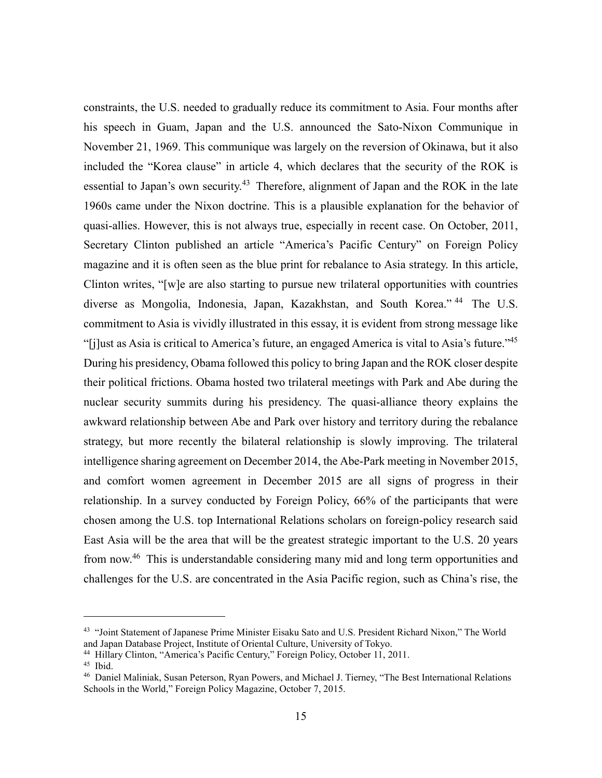constraints, the U.S. needed to gradually reduce its commitment to Asia. Four months after his speech in Guam, Japan and the U.S. announced the Sato-Nixon Communique in November 21, 1969. This communique was largely on the reversion of Okinawa, but it also included the "Korea clause" in article 4, which declares that the security of the ROK is essential to Japan's own security.<sup>43</sup> Therefore, alignment of Japan and the ROK in the late 1960s came under the Nixon doctrine. This is a plausible explanation for the behavior of quasi-allies. However, this is not always true, especially in recent case. On October, 2011, Secretary Clinton published an article "America's Pacific Century" on Foreign Policy magazine and it is often seen as the blue print for rebalance to Asia strategy. In this article, Clinton writes, "[w]e are also starting to pursue new trilateral opportunities with countries diverse as Mongolia, Indonesia, Japan, Kazakhstan, and South Korea." <sup>44</sup> The U.S. commitment to Asia is vividly illustrated in this essay, it is evident from strong message like "[j]ust as Asia is critical to America's future, an engaged America is vital to Asia's future."<sup>45</sup> During his presidency, Obama followed this policy to bring Japan and the ROK closer despite their political frictions. Obama hosted two trilateral meetings with Park and Abe during the nuclear security summits during his presidency. The quasi-alliance theory explains the awkward relationship between Abe and Park over history and territory during the rebalance strategy, but more recently the bilateral relationship is slowly improving. The trilateral intelligence sharing agreement on December 2014, the Abe-Park meeting in November 2015, and comfort women agreement in December 2015 are all signs of progress in their relationship. In a survey conducted by Foreign Policy, 66% of the participants that were chosen among the U.S. top International Relations scholars on foreign-policy research said East Asia will be the area that will be the greatest strategic important to the U.S. 20 years from now.<sup>46</sup> This is understandable considering many mid and long term opportunities and challenges for the U.S. are concentrated in the Asia Pacific region, such as China's rise, the

<sup>43</sup> "Joint Statement of Japanese Prime Minister Eisaku Sato and U.S. President Richard Nixon," The World and Japan Database Project, Institute of Oriental Culture, University of Tokyo.

<sup>44</sup> Hillary Clinton, "America's Pacific Century," Foreign Policy, October 11, 2011.

<sup>45</sup> Ibid.

<sup>46</sup> Daniel Maliniak, Susan Peterson, Ryan Powers, and Michael J. Tierney, "The Best International Relations Schools in the World," Foreign Policy Magazine, October 7, 2015.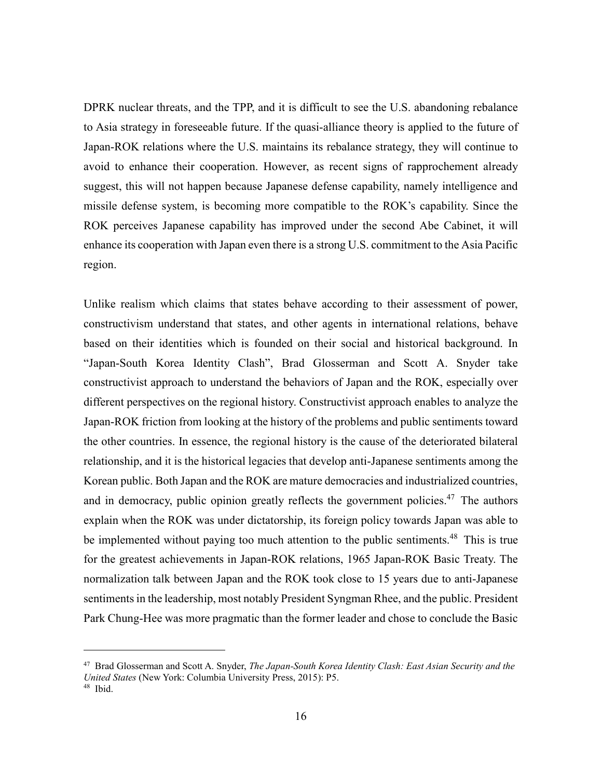DPRK nuclear threats, and the TPP, and it is difficult to see the U.S. abandoning rebalance to Asia strategy in foreseeable future. If the quasi-alliance theory is applied to the future of Japan-ROK relations where the U.S. maintains its rebalance strategy, they will continue to avoid to enhance their cooperation. However, as recent signs of rapprochement already suggest, this will not happen because Japanese defense capability, namely intelligence and missile defense system, is becoming more compatible to the ROK's capability. Since the ROK perceives Japanese capability has improved under the second Abe Cabinet, it will enhance its cooperation with Japan even there is a strong U.S. commitment to the Asia Pacific region.

Unlike realism which claims that states behave according to their assessment of power, constructivism understand that states, and other agents in international relations, behave based on their identities which is founded on their social and historical background. In "Japan-South Korea Identity Clash", Brad Glosserman and Scott A. Snyder take constructivist approach to understand the behaviors of Japan and the ROK, especially over different perspectives on the regional history. Constructivist approach enables to analyze the Japan-ROK friction from looking at the history of the problems and public sentiments toward the other countries. In essence, the regional history is the cause of the deteriorated bilateral relationship, and it is the historical legacies that develop anti-Japanese sentiments among the Korean public. Both Japan and the ROK are mature democracies and industrialized countries, and in democracy, public opinion greatly reflects the government policies.<sup>47</sup> The authors explain when the ROK was under dictatorship, its foreign policy towards Japan was able to be implemented without paying too much attention to the public sentiments.<sup>48</sup> This is true for the greatest achievements in Japan-ROK relations, 1965 Japan-ROK Basic Treaty. The normalization talk between Japan and the ROK took close to 15 years due to anti-Japanese sentiments in the leadership, most notably President Syngman Rhee, and the public. President Park Chung-Hee was more pragmatic than the former leader and chose to conclude the Basic

<sup>47</sup> Brad Glosserman and Scott A. Snyder, *The Japan-South Korea Identity Clash: East Asian Security and the United States* (New York: Columbia University Press, 2015): P5.

<sup>48</sup> Ibid.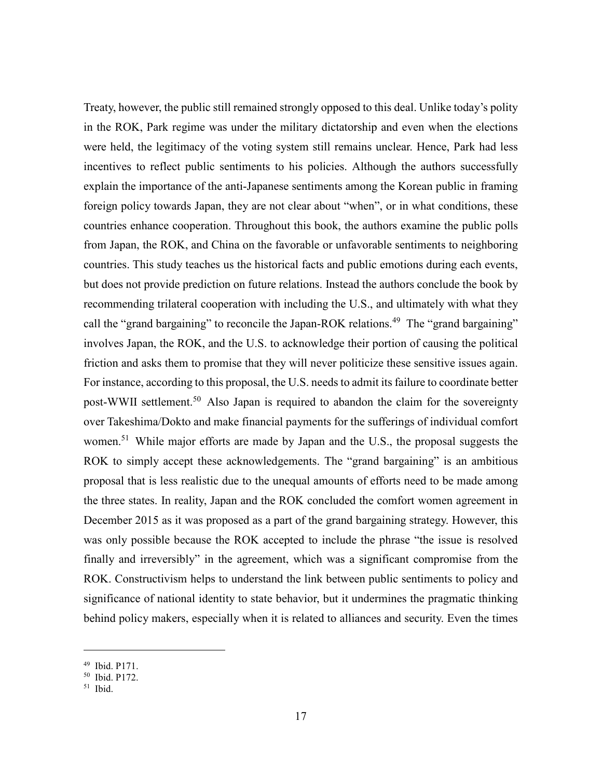Treaty, however, the public still remained strongly opposed to this deal. Unlike today's polity in the ROK, Park regime was under the military dictatorship and even when the elections were held, the legitimacy of the voting system still remains unclear. Hence, Park had less incentives to reflect public sentiments to his policies. Although the authors successfully explain the importance of the anti-Japanese sentiments among the Korean public in framing foreign policy towards Japan, they are not clear about "when", or in what conditions, these countries enhance cooperation. Throughout this book, the authors examine the public polls from Japan, the ROK, and China on the favorable or unfavorable sentiments to neighboring countries. This study teaches us the historical facts and public emotions during each events, but does not provide prediction on future relations. Instead the authors conclude the book by recommending trilateral cooperation with including the U.S., and ultimately with what they call the "grand bargaining" to reconcile the Japan-ROK relations.<sup>49</sup> The "grand bargaining" involves Japan, the ROK, and the U.S. to acknowledge their portion of causing the political friction and asks them to promise that they will never politicize these sensitive issues again. For instance, according to this proposal, the U.S. needs to admit its failure to coordinate better post-WWII settlement.<sup>50</sup> Also Japan is required to abandon the claim for the sovereignty over Takeshima/Dokto and make financial payments for the sufferings of individual comfort women.<sup>51</sup> While major efforts are made by Japan and the U.S., the proposal suggests the ROK to simply accept these acknowledgements. The "grand bargaining" is an ambitious proposal that is less realistic due to the unequal amounts of efforts need to be made among the three states. In reality, Japan and the ROK concluded the comfort women agreement in December 2015 as it was proposed as a part of the grand bargaining strategy. However, this was only possible because the ROK accepted to include the phrase "the issue is resolved finally and irreversibly" in the agreement, which was a significant compromise from the ROK. Constructivism helps to understand the link between public sentiments to policy and significance of national identity to state behavior, but it undermines the pragmatic thinking behind policy makers, especially when it is related to alliances and security. Even the times

<sup>49</sup> Ibid. P171.

<sup>50</sup> Ibid. P172.

 $51$  Ibid.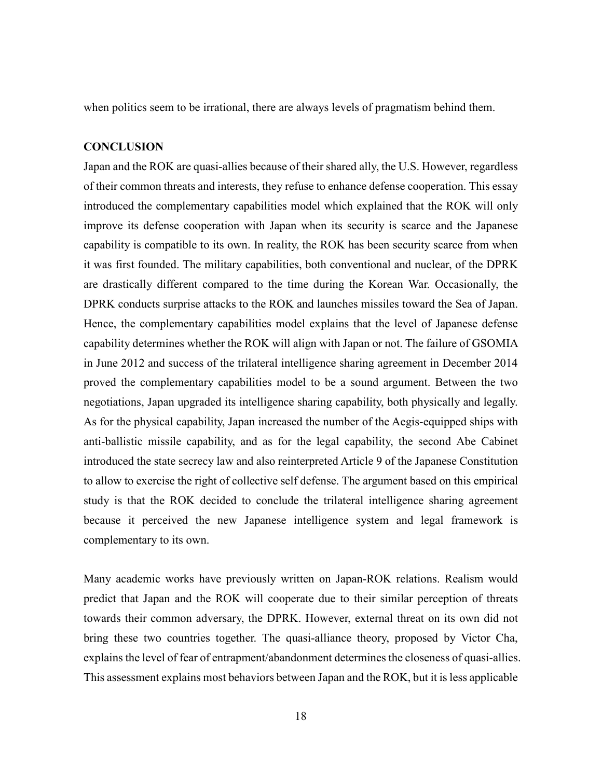when politics seem to be irrational, there are always levels of pragmatism behind them.

#### **CONCLUSION**

Japan and the ROK are quasi-allies because of their shared ally, the U.S. However, regardless of their common threats and interests, they refuse to enhance defense cooperation. This essay introduced the complementary capabilities model which explained that the ROK will only improve its defense cooperation with Japan when its security is scarce and the Japanese capability is compatible to its own. In reality, the ROK has been security scarce from when it was first founded. The military capabilities, both conventional and nuclear, of the DPRK are drastically different compared to the time during the Korean War. Occasionally, the DPRK conducts surprise attacks to the ROK and launches missiles toward the Sea of Japan. Hence, the complementary capabilities model explains that the level of Japanese defense capability determines whether the ROK will align with Japan or not. The failure of GSOMIA in June 2012 and success of the trilateral intelligence sharing agreement in December 2014 proved the complementary capabilities model to be a sound argument. Between the two negotiations, Japan upgraded its intelligence sharing capability, both physically and legally. As for the physical capability, Japan increased the number of the Aegis-equipped ships with anti-ballistic missile capability, and as for the legal capability, the second Abe Cabinet introduced the state secrecy law and also reinterpreted Article 9 of the Japanese Constitution to allow to exercise the right of collective self defense. The argument based on this empirical study is that the ROK decided to conclude the trilateral intelligence sharing agreement because it perceived the new Japanese intelligence system and legal framework is complementary to its own.

Many academic works have previously written on Japan-ROK relations. Realism would predict that Japan and the ROK will cooperate due to their similar perception of threats towards their common adversary, the DPRK. However, external threat on its own did not bring these two countries together. The quasi-alliance theory, proposed by Victor Cha, explains the level of fear of entrapment/abandonment determines the closeness of quasi-allies. This assessment explains most behaviors between Japan and the ROK, but it is less applicable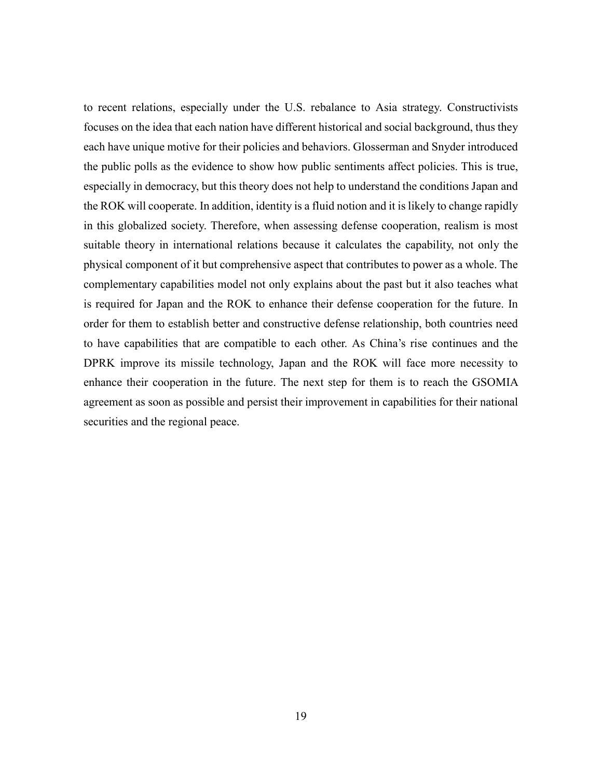to recent relations, especially under the U.S. rebalance to Asia strategy. Constructivists focuses on the idea that each nation have different historical and social background, thus they each have unique motive for their policies and behaviors. Glosserman and Snyder introduced the public polls as the evidence to show how public sentiments affect policies. This is true, especially in democracy, but this theory does not help to understand the conditions Japan and the ROK will cooperate. In addition, identity is a fluid notion and it is likely to change rapidly in this globalized society. Therefore, when assessing defense cooperation, realism is most suitable theory in international relations because it calculates the capability, not only the physical component of it but comprehensive aspect that contributes to power as a whole. The complementary capabilities model not only explains about the past but it also teaches what is required for Japan and the ROK to enhance their defense cooperation for the future. In order for them to establish better and constructive defense relationship, both countries need to have capabilities that are compatible to each other. As China's rise continues and the DPRK improve its missile technology, Japan and the ROK will face more necessity to enhance their cooperation in the future. The next step for them is to reach the GSOMIA agreement as soon as possible and persist their improvement in capabilities for their national securities and the regional peace.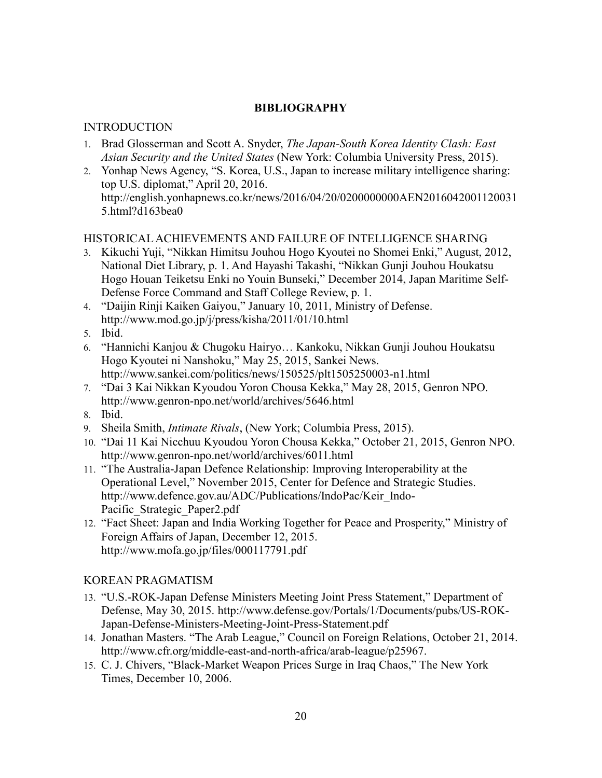# **BIBLIOGRAPHY**

# INTRODUCTION

- 1. Brad Glosserman and Scott A. Snyder, *The Japan-South Korea Identity Clash: East Asian Security and the United States* (New York: Columbia University Press, 2015).
- 2. Yonhap News Agency, "S. Korea, U.S., Japan to increase military intelligence sharing: top U.S. diplomat," April 20, 2016. http://english.yonhapnews.co.kr/news/2016/04/20/0200000000AEN2016042001120031 5.html?d163bea0

# HISTORICAL ACHIEVEMENTS AND FAILURE OF INTELLIGENCE SHARING

- 3. Kikuchi Yuji, "Nikkan Himitsu Jouhou Hogo Kyoutei no Shomei Enki," August, 2012, National Diet Library, p. 1. And Hayashi Takashi, "Nikkan Gunji Jouhou Houkatsu Hogo Houan Teiketsu Enki no Youin Bunseki," December 2014, Japan Maritime Self-Defense Force Command and Staff College Review, p. 1.
- 4. "Daijin Rinji Kaiken Gaiyou," January 10, 2011, Ministry of Defense. http://www.mod.go.jp/j/press/kisha/2011/01/10.html
- 5. Ibid.
- 6. "Hannichi Kanjou & Chugoku Hairyo… Kankoku, Nikkan Gunji Jouhou Houkatsu Hogo Kyoutei ni Nanshoku," May 25, 2015, Sankei News. http://www.sankei.com/politics/news/150525/plt1505250003-n1.html
- 7. "Dai 3 Kai Nikkan Kyoudou Yoron Chousa Kekka," May 28, 2015, Genron NPO. http://www.genron-npo.net/world/archives/5646.html
- 8. Ibid.
- 9. Sheila Smith, *Intimate Rivals*, (New York; Columbia Press, 2015).
- 10. "Dai 11 Kai Nicchuu Kyoudou Yoron Chousa Kekka," October 21, 2015, Genron NPO. http://www.genron-npo.net/world/archives/6011.html
- 11. "The Australia-Japan Defence Relationship: Improving Interoperability at the Operational Level," November 2015, Center for Defence and Strategic Studies. http://www.defence.gov.au/ADC/Publications/IndoPac/Keir\_Indo-Pacific\_Strategic\_Paper2.pdf
- 12. "Fact Sheet: Japan and India Working Together for Peace and Prosperity," Ministry of Foreign Affairs of Japan, December 12, 2015. http://www.mofa.go.jp/files/000117791.pdf

# KOREAN PRAGMATISM

- 13. "U.S.-ROK-Japan Defense Ministers Meeting Joint Press Statement," Department of Defense, May 30, 2015. http://www.defense.gov/Portals/1/Documents/pubs/US-ROK-Japan-Defense-Ministers-Meeting-Joint-Press-Statement.pdf
- 14. Jonathan Masters. "The Arab League," Council on Foreign Relations, October 21, 2014. http://www.cfr.org/middle-east-and-north-africa/arab-league/p25967.
- 15. C. J. Chivers, "Black-Market Weapon Prices Surge in Iraq Chaos," The New York Times, December 10, 2006.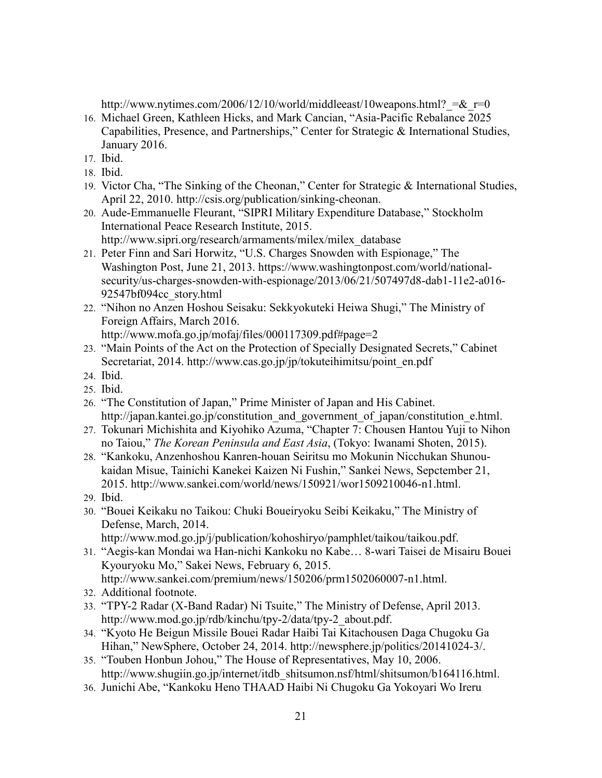http://www.nytimes.com/2006/12/10/world/middleeast/10weapons.html?  $=\& r=0$ 

- 16. Michael Green, Kathleen Hicks, and Mark Cancian, "Asia-Pacific Rebalance 2025 Capabilities, Presence, and Partnerships," Center for Strategic & International Studies, January 2016.
- 17. Ibid.
- 18. Ibid.
- 19. Victor Cha, "The Sinking of the Cheonan," Center for Strategic & International Studies, April 22, 2010. http://csis.org/publication/sinking-cheonan.
- 20. Aude-Emmanuelle Fleurant, "SIPRI Military Expenditure Database," Stockholm International Peace Research Institute, 2015. http://www.sipri.org/research/armaments/milex/milex\_database
- 21. Peter Finn and Sari Horwitz, "U.S. Charges Snowden with Espionage," The Washington Post, June 21, 2013. https://www.washingtonpost.com/world/nationalsecurity/us-charges-snowden-with-espionage/2013/06/21/507497d8-dab1-11e2-a016- 92547bf094cc\_story.html
- 22. "Nihon no Anzen Hoshou Seisaku: Sekkyokuteki Heiwa Shugi," The Ministry of Foreign Affairs, March 2016.

http://www.mofa.go.jp/mofaj/files/000117309.pdf#page=2

- 23. "Main Points of the Act on the Protection of Specially Designated Secrets," Cabinet Secretariat, 2014. http://www.cas.go.jp/jp/tokuteihimitsu/point\_en.pdf
- 24. Ibid.
- 25. Ibid.
- 26. "The Constitution of Japan," Prime Minister of Japan and His Cabinet. http://japan.kantei.go.jp/constitution and government of japan/constitution e.html.
- 27. Tokunari Michishita and Kiyohiko Azuma, "Chapter 7: Chousen Hantou Yuji to Nihon no Taiou," *The Korean Peninsula and East Asia*, (Tokyo: Iwanami Shoten, 2015).
- 28. "Kankoku, Anzenhoshou Kanren-houan Seiritsu mo Mokunin Nicchukan Shunoukaidan Misue, Tainichi Kanekei Kaizen Ni Fushin," Sankei News, Sepctember 21, 2015. http://www.sankei.com/world/news/150921/wor1509210046-n1.html.
- 29. Ibid.
- 30. "Bouei Keikaku no Taikou: Chuki Boueiryoku Seibi Keikaku," The Ministry of Defense, March, 2014.
	- http://www.mod.go.jp/j/publication/kohoshiryo/pamphlet/taikou/taikou.pdf.
- 31. "Aegis-kan Mondai wa Han-nichi Kankoku no Kabe… 8-wari Taisei de Misairu Bouei Kyouryoku Mo," Sakei News, February 6, 2015. http://www.sankei.com/premium/news/150206/prm1502060007-n1.html.
- 32. Additional footnote.
- 33. "TPY-2 Radar (X-Band Radar) Ni Tsuite," The Ministry of Defense, April 2013. http://www.mod.go.jp/rdb/kinchu/tpy-2/data/tpy-2\_about.pdf.
- 34. "Kyoto He Beigun Missile Bouei Radar Haibi Tai Kitachousen Daga Chugoku Ga Hihan," NewSphere, October 24, 2014. http://newsphere.jp/politics/20141024-3/.
- 35. "Touben Honbun Johou," The House of Representatives, May 10, 2006. http://www.shugiin.go.jp/internet/itdb\_shitsumon.nsf/html/shitsumon/b164116.html.
- 36. Junichi Abe, "Kankoku Heno THAAD Haibi Ni Chugoku Ga Yokoyari Wo Ireru